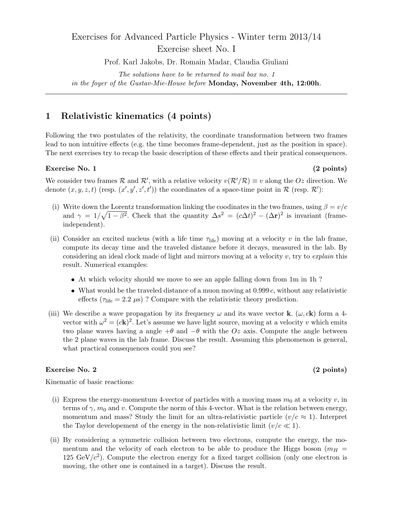# Exercises for Advanced Particle Physics - Winter term 2013/14 Exercise sheet No. I

Prof. Karl Jakobs, Dr. Romain Madar, Claudia Giuliani

*The solutions have to be returned to mail box no. 1 in the foyer of the Gustav-Mie-House before* **Monday, November 4th, 12:00h***.*

## **1 Relativistic kinematics (4 points)**

Following the two postulates of the relativity, the coordinate transformation between two frames lead to non intuitive effects (e.g. the time becomes frame-dependent, just as the position in space). The next exercises try to recap the basic description of these effects and their pratical consequences.

## **Exercise No. 1** (2 points)

We consider two frames  $\mathcal{R}$  and  $\mathcal{R}'$ , with a relative velocity  $v(\mathcal{R}'/\mathcal{R}) \equiv v$  along the  $Oz$  direction. We denote  $(x, y, z, t)$  (resp.  $(x', y', z', t')$ ) the coordinates of a space-time point in  $\mathcal{R}$  (resp.  $\mathcal{R}'$ ):

- (i) Write down the Lorentz transformation linking the coodinates in the two frames, using  $\beta = v/c$ and  $\gamma = 1/\sqrt{1-\beta^2}$ . Check that the quantity  $\Delta s^2 = (c\Delta t)^2 - (\Delta \mathbf{r})^2$  is invariant (frameindependent).
- (ii) Consider an excited nucleus (with a life time *τ*life) moving at a velocity *v* in the lab frame, compute its decay time and the traveled distance before it decays, measured in the lab. By considering an ideal clock made of light and mirrors moving at a velocity *v*, try to *explain* this result. Numerical examples:
	- At which velocity should we move to see an apple falling down from 1m in 1h ?
	- $\bullet$  What would be the traveled distance of a muon moving at  $0.999 c$ , without any relativistic effects  $(\tau_{\text{life}} = 2.2 \,\mu s)$  ? Compare with the relativistic theory prediction.
- (iii) We describe a wave propagation by its frequency  $\omega$  and its wave vector **k**. ( $\omega$ ,  $c$ **k**) form a 4vector with  $\omega^2 = (c\mathbf{k})^2$ . Let's assume we have light source, moving at a velocity *v* which emits two plane waves having a angle +*θ* and *−θ* with the *Oz* axis. Compute the angle between the 2 plane waves in the lab frame. Discuss the result. Assuming this phenomenon is general, what practical consequences could you see?

### **Exercise No. 2** (2 points)

Kinematic of basic reactions:

- (i) Express the energy-momentum 4-vector of particles with a moving mass  $m_0$  at a velocity  $v$ , in terms of  $\gamma$ ,  $m_0$  and *v*. Compute the norm of this 4-vector. What is the relation between energy, momentum and mass? Study the limit for an ultra-relativistic particle  $(v/c \approx 1)$ . Interpret the Taylor developement of the energy in the non-relativistic limit  $(v/c \ll 1)$ .
- (ii) By considering a symmetric collision between two electrons, compute the energy, the momentum and the velocity of each electron to be able to produce the Higgs boson ( $m_H$  = 125 GeV $/c^2$ ). Compute the electron energy for a fixed target collision (only one electron is moving, the other one is contained in a target). Discuss the result.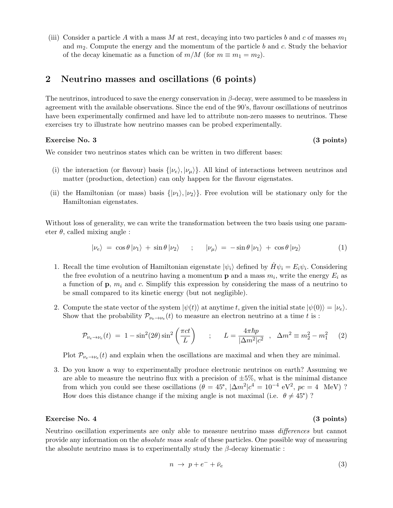(iii) Consider a particle A with a mass M at rest, decaying into two particles b and c of masses  $m_1$ and *m*2. Compute the energy and the momentum of the particle *b* and *c*. Study the behavior of the decay kinematic as a function of  $m/M$  (for  $m \equiv m_1 = m_2$ ).

## **2 Neutrino masses and oscillations (6 points)**

The neutrinos, introduced to save the energy conservation in *β*-decay, were assumed to be massless in agreement with the available observations. Since the end of the 90's, flavour oscillations of neutrinos have been experimentally confirmed and have led to attribute non-zero masses to neutrinos. These exercises try to illustrate how neutrino masses can be probed experimentally.

## **Exercise No. 3 (3 points)**

We consider two neutrinos states which can be written in two different bases:

- (i) the interaction (or flavour) basis  $\{|\nu_e\rangle, |\nu_u\rangle\}$ . All kind of interactions between neutrinos and matter (production, detection) can only happen for the flavour eigenstates.
- (ii) the Hamiltonian (or mass) basis  $\{|\nu_1\rangle, |\nu_2\rangle\}$ . Free evolution will be stationary only for the Hamiltonian eigenstates.

Without loss of generality, we can write the transformation between the two basis using one parameter  $\theta$ , called mixing angle :

$$
|\nu_e\rangle = \cos\theta |\nu_1\rangle + \sin\theta |\nu_2\rangle \qquad ; \qquad |\nu_\mu\rangle = -\sin\theta |\nu_1\rangle + \cos\theta |\nu_2\rangle \tag{1}
$$

- 1. Recall the time evolution of Hamiltonian eigenstate  $|\psi_i\rangle$  defined by  $\hat{H}\psi_i = E_i\psi_i$ . Considering the free evolution of a neutrino having a momentum **p** and a mass  $m_i$ , write the energy  $E_i$  as a function of  $\mathbf{p}$ ,  $m_i$  and *c*. Simplify this expression by considering the mass of a neutrino to be small compared to its kinetic energy (but not negligible).
- 2. Compute the state vector of the system  $|\psi(t)\rangle$  at anytime *t*, given the initial state  $|\psi(0)\rangle = |\nu_e\rangle$ . Show that the probability  $\mathcal{P}_{\nu_e \to \nu_e}(t)$  to measure an electron neutrino at a time *t* is :

$$
\mathcal{P}_{\nu_e \to \nu_e}(t) = 1 - \sin^2(2\theta) \sin^2\left(\frac{\pi ct}{L}\right) \qquad ; \qquad L = \frac{4\pi \hbar p}{|\Delta m^2|c^2} \quad , \quad \Delta m^2 \equiv m_2^2 - m_1^2 \tag{2}
$$

Plot  $\mathcal{P}_{\nu_e \to \nu_e}(t)$  and explain when the oscillations are maximal and when they are minimal.

3. Do you know a way to experimentally produce electronic neutrinos on earth? Assuming we are able to measure the neutrino flux with a precision of  $\pm 5\%$ , what is the minimal distance from which you could see these oscillations  $(\hat{\theta} = 45^{\circ}, |\Delta m^2|c^4 = 10^{-4} \text{ eV}^2, pc = 4 \text{ MeV})$ ? How does this distance change if the mixing angle is not maximal (i.e.  $\theta \neq 45^{\circ}$ )?

## **Exercise No. 4 (3 points)**

Neutrino oscillation experiments are only able to measure neutrino mass *differences* but cannot provide any information on the *absolute mass scale* of these particles. One possible way of measuring the absolute neutrino mass is to experimentally study the *β*-decay kinematic :

$$
n \to p + e^- + \bar{\nu}_e \tag{3}
$$